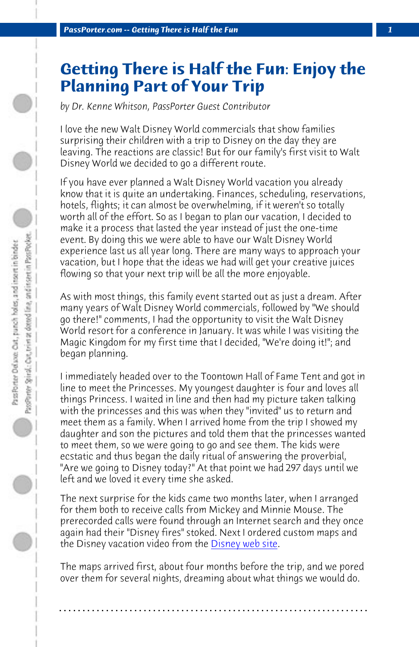*PassPorter.com -- Getting There is Half the Fun 1*

## **Getting There is Half the Fun: Enjoy the Planning Part of Your Trip**

*by Dr. Kenne Whitson, PassPorter Guest Contributor*

I love the new Walt Disney World commercials that show families surprising their children with a trip to Disney on the day they are leaving. The reactions are classic! But for our family's first visit to Walt Disney World we decided to go a different route.

If you have ever planned a Walt Disney World vacation you already know that it is quite an undertaking. Finances, scheduling, reservations, hotels, flights; it can almost be overwhelming, if it weren't so totally worth all of the effort. So as I began to plan our vacation, I decided to make it a process that lasted the year instead of just the one-time event. By doing this we were able to have our Walt Disney World experience last us all year long. There are many ways to approach your vacation, but I hope that the ideas we had will get your creative juices flowing so that your next trip will be all the more enjoyable.

As with most things, this family event started out as just a dream. After many years of Walt Disney World commercials, followed by "We should go there!" comments, I had the opportunity to visit the Walt Disney World resort for a conference in January. It was while I was visiting the Magic Kingdom for my first time that I decided, "We're doing it!"; and began planning.

I immediately headed over to the Toontown Hall of Fame Tent and got in line to meet the Princesses. My youngest daughter is four and loves all things Princess. I waited in line and then had my picture taken talking with the princesses and this was when they "invited" us to return and meet them as a family. When I arrived home from the trip I showed my daughter and son the pictures and told them that the princesses wanted to meet them, so we were going to go and see them. The kids were ecstatic and thus began the daily ritual of answering the proverbial, "Are we going to Disney today?" At that point we had 297 days until we left and we loved it every time she asked.

The next surprise for the kids came two months later, when I arranged for them both to receive calls from Mickey and Minnie Mouse. The prerecorded calls were found through an Internet search and they once again had their "Disney fires" stoked. Next I ordered custom maps and the Disney vacation video from the Disney web site.

The maps arrived first, about four months before the trip, and we pored over them for several nights, dreaming about what things we would do.

**. . . . . . . . . . . . . . . . . . . . . . . . . . . . . . . . . . . . . . . . . . . . . . . . . . . . . . . . . . . . . . . . . .**